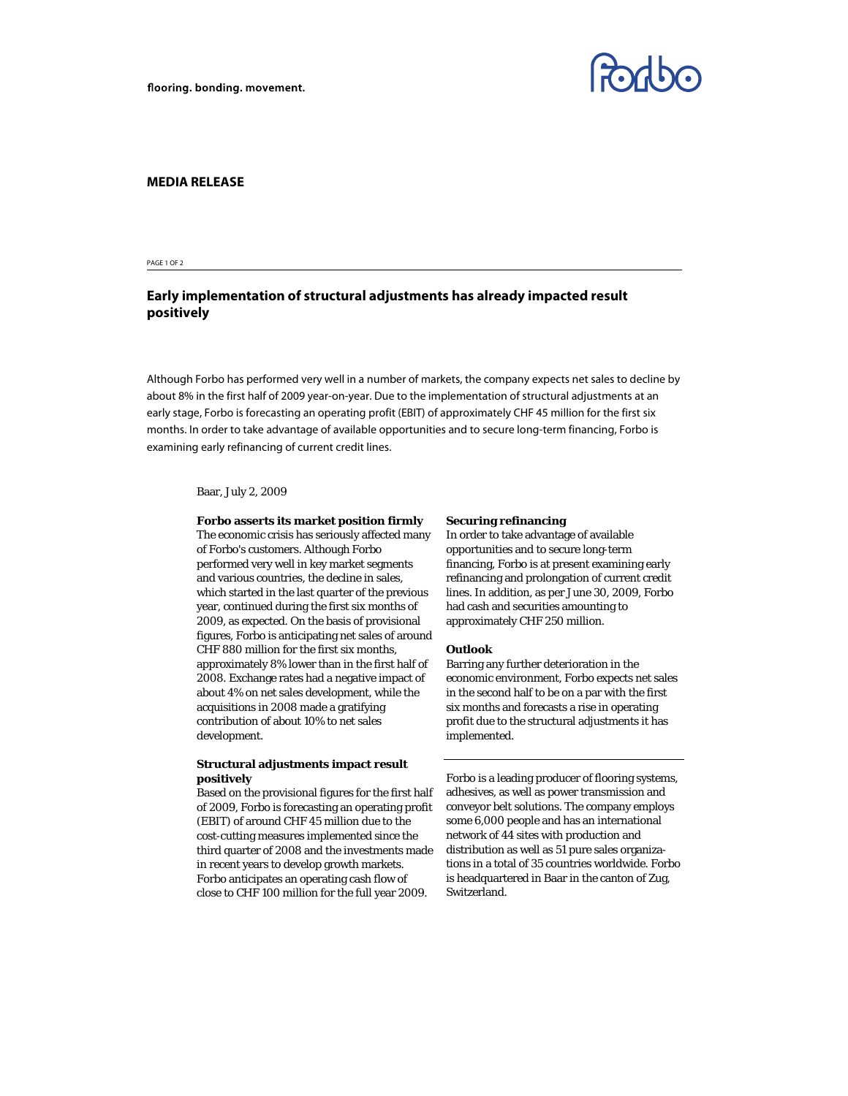

### **MEDIA RELEASE**

#### PAGE 1 OF 2

# **Early implementation of structural adjustments has already impacted result positively**

Although Forbo has performed very well in a number of markets, the company expects net sales to decline by about 8% in the first half of 2009 year-on-year. Due to the implementation of structural adjustments at an early stage, Forbo is forecasting an operating profit (EBIT) of approximately CHF 45 million for the first six months. In order to take advantage of available opportunities and to secure long-term financing, Forbo is examining early refinancing of current credit lines.

### Baar, July 2, 2009

#### **Forbo asserts its market position firmly**

The economic crisis has seriously affected many of Forbo's customers. Although Forbo performed very well in key market segments and various countries, the decline in sales, which started in the last quarter of the previous year, continued during the first six months of 2009, as expected. On the basis of provisional figures, Forbo is anticipating net sales of around CHF 880 million for the first six months, approximately 8% lower than in the first half of 2008. Exchange rates had a negative impact of about 4% on net sales development, while the acquisitions in 2008 made a gratifying contribution of about 10% to net sales development.

## **Structural adjustments impact result positively**

Based on the provisional figures for the first half of 2009, Forbo is forecasting an operating profit (EBIT) of around CHF 45 million due to the cost-cutting measures implemented since the third quarter of 2008 and the investments made in recent years to develop growth markets. Forbo anticipates an operating cash flow of close to CHF 100 million for the full year 2009.

#### **Securing refinancing**

In order to take advantage of available opportunities and to secure long-term financing, Forbo is at present examining early refinancing and prolongation of current credit lines. In addition, as per June 30, 2009, Forbo had cash and securities amounting to approximately CHF 250 million.

#### **Outlook**

Barring any further deterioration in the economic environment, Forbo expects net sales in the second half to be on a par with the first six months and forecasts a rise in operating profit due to the structural adjustments it has implemented.

Forbo is a leading producer of flooring systems, adhesives, as well as power transmission and conveyor belt solutions. The company employs some 6,000 people and has an international network of 44 sites with production and distribution as well as 51 pure sales organizations in a total of 35 countries worldwide. Forbo is headquartered in Baar in the canton of Zug, Switzerland.